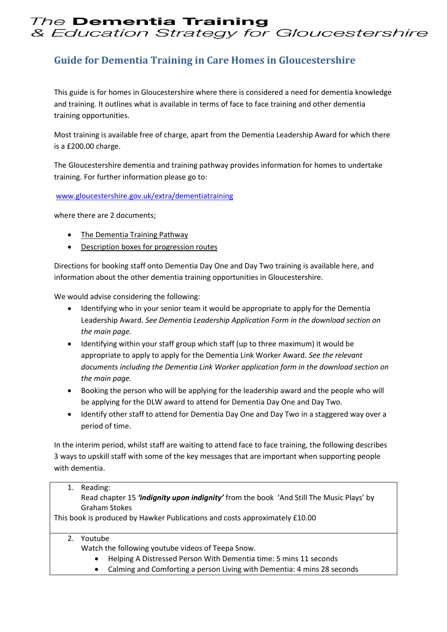# **The Dementia Training** & Education Strategy for Gloucestershire

### **Guide for Dementia Training in Care Homes in Gloucestershire**

This guide is for homes in Gloucestershire where there is considered a need for dementia knowledge and training. It outlines what is available in terms of face to face training and other dementia training opportunities.

Most training is available free of charge, apart from the Dementia Leadership Award for which there is a £200.00 charge.

The Gloucestershire dementia and training pathway provides information for homes to undertake training. For further information please go to:

#### [www.gloucestershire.gov.uk/extra/dementiatraining](http://www.gloucestershire.gov.uk/extra/dementiatraining)

where there are 2 documents;

- The Dementia Training Pathway
- Description boxes for progression routes

Directions for booking staff onto Dementia Day One and Day Two training is available here, and information about the other dementia training opportunities in Gloucestershire.

We would advise considering the following:

- Identifying who in your senior team it would be appropriate to apply for the Dementia Leadership Award. *See Dementia Leadership Application Form in the download section on the main page.*
- Identifying within your staff group which staff (up to three maximum) it would be appropriate to apply to apply for the Dementia Link Worker Award. *See the relevant documents including the Dementia Link Worker application form in the download section on the main page.*
- Booking the person who will be applying for the leadership award and the people who will be applying for the DLW award to attend for Dementia Day One and Day Two.
- Identify other staff to attend for Dementia Day One and Day Two in a staggered way over a period of time.

In the interim period, whilst staff are waiting to attend face to face training, the following describes 3 ways to upskill staff with some of the key messages that are important when supporting people with dementia.

#### 1. Reading:

Read chapter 15 *'indignity upon indignity'* from the book 'And Still The Music Plays' by Graham Stokes

This book is produced by Hawker Publications and costs approximately £10.00

### 2. Youtube

Watch the following youtube videos of Teepa Snow.

- Helping A Distressed Person With Dementia time: 5 mins 11 seconds
- Calming and Comforting a person Living with Dementia: 4 mins 28 seconds